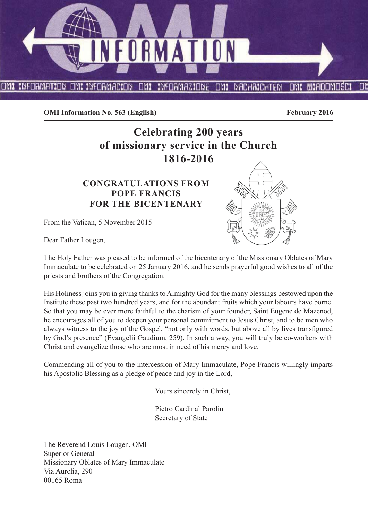

**OMI Information No. 563 (English)** February 2016

# **Celebrating 200 years of missionary service in the Church 1816-2016**

# **CONGRATULATIONS FROM POPE FRANCIS FOR THE BICENTENARY**

From the Vatican, 5 November 2015



Dear Father Lougen,

The Holy Father was pleased to be informed of the bicentenary of the Missionary Oblates of Mary Immaculate to be celebrated on 25 January 2016, and he sends prayerful good wishes to all of the priests and brothers of the Congregation.

His Holiness joins you in giving thanks to Almighty God for the many blessings bestowed upon the Institute these past two hundred years, and for the abundant fruits which your labours have borne. So that you may be ever more faithful to the charism of your founder, Saint Eugene de Mazenod, he encourages all of you to deepen your personal commitment to Jesus Christ, and to be men who always witness to the joy of the Gospel, "not only with words, but above all by lives transfigured by God's presence" (Evangelii Gaudium, 259). In such a way, you will truly be co-workers with Christ and evangelize those who are most in need of his mercy and love.

Commending all of you to the intercession of Mary Immaculate, Pope Francis willingly imparts his Apostolic Blessing as a pledge of peace and joy in the Lord,

Yours sincerely in Christ,

Pietro Cardinal Parolin Secretary of State

The Reverend Louis Lougen, OMI Superior General Missionary Oblates of Mary Immaculate Via Aurelia, 290 00165 Roma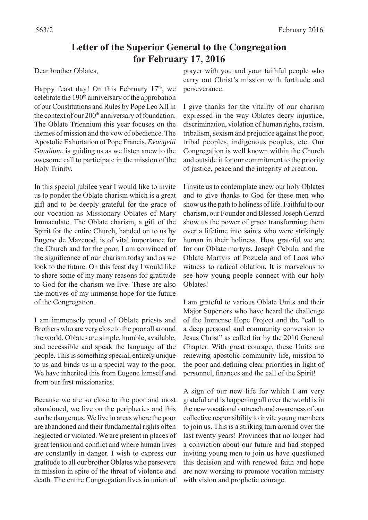# **Letter of the Superior General to the Congregation for February 17, 2016**

#### Dear brother Oblates,

Happy feast day! On this February  $17<sup>th</sup>$ , we celebrate the 190<sup>th</sup> anniversary of the approbation of our Constitutions and Rules by Pope Leo XII in the context of our 200<sup>th</sup> anniversary of foundation. The Oblate Triennium this year focuses on the themes of mission and the vow of obedience. The Apostolic Exhortation of Pope Francis, *Evangelii Gaudium*, is guiding us as we listen anew to the awesome call to participate in the mission of the Holy Trinity.

In this special jubilee year I would like to invite us to ponder the Oblate charism which is a great gift and to be deeply grateful for the grace of our vocation as Missionary Oblates of Mary Immaculate. The Oblate charism, a gift of the Spirit for the entire Church, handed on to us by Eugene de Mazenod, is of vital importance for the Church and for the poor. I am convinced of the significance of our charism today and as we look to the future. On this feast day I would like to share some of my many reasons for gratitude to God for the charism we live. These are also the motives of my immense hope for the future of the Congregation.

I am immensely proud of Oblate priests and Brothers who are very close to the poor all around the world. Oblates are simple, humble, available, and accessible and speak the language of the people. This is something special, entirely unique to us and binds us in a special way to the poor. We have inherited this from Eugene himself and from our first missionaries.

Because we are so close to the poor and most abandoned, we live on the peripheries and this can be dangerous. We live in areas where the poor are abandoned and their fundamental rights often neglected or violated. We are present in places of great tension and conflict and where human lives are constantly in danger. I wish to express our gratitude to all our brother Oblates who persevere in mission in spite of the threat of violence and death. The entire Congregation lives in union of prayer with you and your faithful people who carry out Christ's mission with fortitude and perseverance.

I give thanks for the vitality of our charism expressed in the way Oblates decry injustice, discrimination, violation of human rights, racism, tribalism, sexism and prejudice against the poor, tribal peoples, indigenous peoples, etc. Our Congregation is well known within the Church and outside it for our commitment to the priority of justice, peace and the integrity of creation.

I invite us to contemplate anew our holy Oblates and to give thanks to God for these men who show us the path to holiness of life. Faithful to our charism, our Founder and Blessed Joseph Gerard show us the power of grace transforming them over a lifetime into saints who were strikingly human in their holiness. How grateful we are for our Oblate martyrs, Joseph Cebula, and the Oblate Martyrs of Pozuelo and of Laos who witness to radical oblation. It is marvelous to see how young people connect with our holy Oblates!

I am grateful to various Oblate Units and their Major Superiors who have heard the challenge of the Immense Hope Project and the "call to a deep personal and community conversion to Jesus Christ" as called for by the 2010 General Chapter. With great courage, these Units are renewing apostolic community life, mission to the poor and defining clear priorities in light of personnel, finances and the call of the Spirit!

A sign of our new life for which I am very grateful and is happening all over the world is in the new vocational outreach and awareness of our collective responsibility to invite young members to join us. This is a striking turn around over the last twenty years! Provinces that no longer had a conviction about our future and had stopped inviting young men to join us have questioned this decision and with renewed faith and hope are now working to promote vocation ministry with vision and prophetic courage.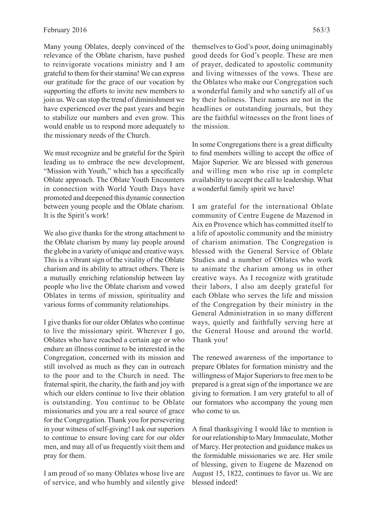Many young Oblates, deeply convinced of the relevance of the Oblate charism, have pushed to reinvigorate vocations ministry and I am grateful to them for their stamina! We can express our gratitude for the grace of our vocation by supporting the efforts to invite new members to join us. We can stop the trend of diminishment we have experienced over the past years and begin to stabilize our numbers and even grow. This would enable us to respond more adequately to the missionary needs of the Church.

We must recognize and be grateful for the Spirit leading us to embrace the new development, "Mission with Youth," which has a specifically Oblate approach. The Oblate Youth Encounters in connection with World Youth Days have promoted and deepened this dynamic connection between young people and the Oblate charism. It is the Spirit's work!

We also give thanks for the strong attachment to the Oblate charism by many lay people around the globe in a variety of unique and creative ways. This is a vibrant sign of the vitality of the Oblate charism and its ability to attract others. There is a mutually enriching relationship between lay people who live the Oblate charism and vowed Oblates in terms of mission, spirituality and various forms of community relationships.

I give thanks for our older Oblates who continue to live the missionary spirit. Wherever I go, Oblates who have reached a certain age or who endure an illness continue to be interested in the Congregation, concerned with its mission and still involved as much as they can in outreach to the poor and to the Church in need. The fraternal spirit, the charity, the faith and joy with which our elders continue to live their oblation is outstanding. You continue to be Oblate missionaries and you are a real source of grace for the Congregation. Thank you for persevering in your witness of self-giving! I ask our superiors to continue to ensure loving care for our older men, and may all of us frequently visit them and pray for them.

I am proud of so many Oblates whose live are of service, and who humbly and silently give themselves to God's poor, doing unimaginably good deeds for God's people. These are men of prayer, dedicated to apostolic community and living witnesses of the vows. These are the Oblates who make our Congregation such a wonderful family and who sanctify all of us by their holiness. Their names are not in the headlines or outstanding journals, but they are the faithful witnesses on the front lines of the mission.

In some Congregations there is a great difficulty to find members willing to accept the office of Major Superior. We are blessed with generous and willing men who rise up in complete availability to accept the call to leadership. What a wonderful family spirit we have!

I am grateful for the international Oblate community of Centre Eugene de Mazenod in Aix en Provence which has committed itself to a life of apostolic community and the ministry of charism animation. The Congregation is blessed with the General Service of Oblate Studies and a number of Oblates who work to animate the charism among us in other creative ways. As I recognize with gratitude their labors, I also am deeply grateful for each Oblate who serves the life and mission of the Congregation by their ministry in the General Administration in so many different ways, quietly and faithfully serving here at the General House and around the world. Thank you!

The renewed awareness of the importance to prepare Oblates for formation ministry and the willingness of Major Superiors to free men to be prepared is a great sign of the importance we are giving to formation. I am very grateful to all of our formators who accompany the young men who come to us.

A final thanksgiving I would like to mention is for our relationship to Mary Immaculate, Mother of Marcy. Her protection and guidance makes us the formidable missionaries we are. Her smile of blessing, given to Eugene de Mazenod on August 15, 1822, continues to favor us. We are blessed indeed!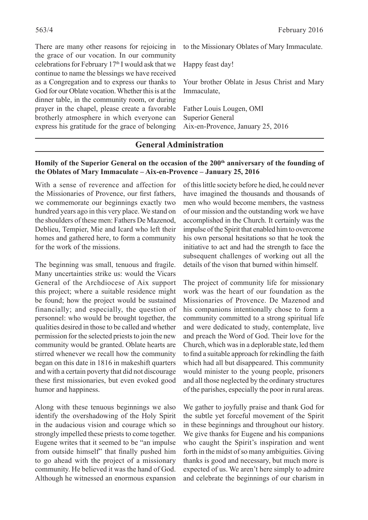There are many other reasons for rejoicing in the grace of our vocation. In our community celebrations for February 17<sup>th</sup> I would ask that we continue to name the blessings we have received as a Congregation and to express our thanks to God for our Oblate vocation. Whether this is at the dinner table, in the community room, or during prayer in the chapel, please create a favorable brotherly atmosphere in which everyone can express his gratitude for the grace of belonging to the Missionary Oblates of Mary Immaculate.

Happy feast day!

Your brother Oblate in Jesus Christ and Mary Immaculate,

Father Louis Lougen, OMI Superior General Aix-en-Provence, January 25, 2016

### **General Administration**

#### Homily of the Superior General on the occasion of the 200<sup>th</sup> anniversary of the founding of **the Oblates of Mary Immaculate – Aix-en-Provence – January 25, 2016**

With a sense of reverence and affection for the Missionaries of Provence, our first fathers, we commemorate our beginnings exactly two hundred years ago in this very place. We stand on the shoulders of these men: Fathers De Mazenod, Deblieu, Tempier, Mie and Icard who left their homes and gathered here, to form a community for the work of the missions.

The beginning was small, tenuous and fragile. Many uncertainties strike us: would the Vicars General of the Archdiocese of Aix support this project; where a suitable residence might be found; how the project would be sustained financially; and especially, the question of personnel: who would be brought together, the qualities desired in those to be called and whether permission for the selected priests to join the new community would be granted. Oblate hearts are stirred whenever we recall how the community began on this date in 1816 in makeshift quarters and with a certain poverty that did not discourage these first missionaries, but even evoked good humor and happiness.

Along with these tenuous beginnings we also identify the overshadowing of the Holy Spirit in the audacious vision and courage which so strongly impelled these priests to come together. Eugene writes that it seemed to be "an impulse from outside himself" that finally pushed him to go ahead with the project of a missionary community. He believed it was the hand of God. Although he witnessed an enormous expansion

of this little society before he died, he could never have imagined the thousands and thousands of men who would become members, the vastness of our mission and the outstanding work we have accomplished in the Church. It certainly was the impulse of the Spirit that enabled him to overcome his own personal hesitations so that he took the initiative to act and had the strength to face the subsequent challenges of working out all the details of the vison that burned within himself.

The project of community life for missionary work was the heart of our foundation as the Missionaries of Provence. De Mazenod and his companions intentionally chose to form a community committed to a strong spiritual life and were dedicated to study, contemplate, live and preach the Word of God. Their love for the Church, which was in a deplorable state, led them to find a suitable approach for rekindling the faith which had all but disappeared. This community would minister to the young people, prisoners and all those neglected by the ordinary structures of the parishes, especially the poor in rural areas.

We gather to joyfully praise and thank God for the subtle yet forceful movement of the Spirit in these beginnings and throughout our history. We give thanks for Eugene and his companions who caught the Spirit's inspiration and went forth in the midst of so many ambiguities. Giving thanks is good and necessary, but much more is expected of us. We aren't here simply to admire and celebrate the beginnings of our charism in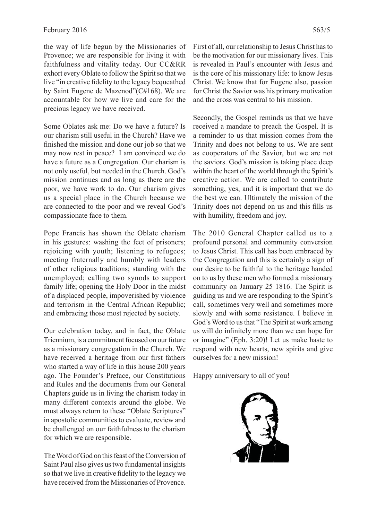the way of life begun by the Missionaries of Provence; we are responsible for living it with faithfulness and vitality today. Our CC&RR exhort every Oblate to follow the Spirit so that we live "in creative fidelity to the legacy bequeathed by Saint Eugene de Mazenod"(C#168). We are accountable for how we live and care for the precious legacy we have received.

Some Oblates ask me: Do we have a future? Is our charism still useful in the Church? Have we finished the mission and done our job so that we may now rest in peace? I am convinced we do have a future as a Congregation. Our charism is not only useful, but needed in the Church. God's mission continues and as long as there are the poor, we have work to do. Our charism gives us a special place in the Church because we are connected to the poor and we reveal God's compassionate face to them.

Pope Francis has shown the Oblate charism in his gestures: washing the feet of prisoners; rejoicing with youth; listening to refugees; meeting fraternally and humbly with leaders of other religious traditions; standing with the unemployed; calling two synods to support family life; opening the Holy Door in the midst of a displaced people, impoverished by violence and terrorism in the Central African Republic; and embracing those most rejected by society.

Our celebration today, and in fact, the Oblate Triennium, is a commitment focused on our future as a missionary congregation in the Church. We have received a heritage from our first fathers who started a way of life in this house 200 years ago. The Founder's Preface, our Constitutions and Rules and the documents from our General Chapters guide us in living the charism today in many different contexts around the globe. We must always return to these "Oblate Scriptures" in apostolic communities to evaluate, review and be challenged on our faithfulness to the charism for which we are responsible.

The Word of God on this feast of the Conversion of Saint Paul also gives us two fundamental insights so that we live in creative fidelity to the legacy we have received from the Missionaries of Provence.

First of all, our relationship to Jesus Christ has to be the motivation for our missionary lives. This is revealed in Paul's encounter with Jesus and is the core of his missionary life: to know Jesus Christ. We know that for Eugene also, passion for Christ the Savior was his primary motivation and the cross was central to his mission.

Secondly, the Gospel reminds us that we have received a mandate to preach the Gospel. It is a reminder to us that mission comes from the Trinity and does not belong to us. We are sent as cooperators of the Savior, but we are not the saviors. God's mission is taking place deep within the heart of the world through the Spirit's creative action. We are called to contribute something, yes, and it is important that we do the best we can. Ultimately the mission of the Trinity does not depend on us and this fills us with humility, freedom and joy.

The 2010 General Chapter called us to a profound personal and community conversion to Jesus Christ. This call has been embraced by the Congregation and this is certainly a sign of our desire to be faithful to the heritage handed on to us by these men who formed a missionary community on January 25 1816. The Spirit is guiding us and we are responding to the Spirit's call, sometimes very well and sometimes more slowly and with some resistance. I believe in God's Word to us that "The Spirit at work among us will do infinitely more than we can hope for or imagine" (Eph. 3:20)! Let us make haste to respond with new hearts, new spirits and give ourselves for a new mission!

Happy anniversary to all of you!

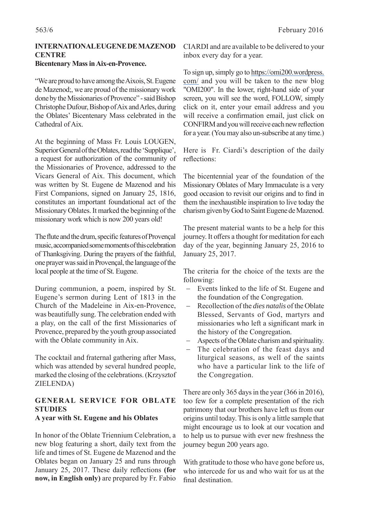#### **INTERNATIONAL EUGENE DE MAZENOD CENTRE Bicentenary Mass in Aix-en-Provence.**

"We are proud to have among the Aixois, St. Eugene de Mazenod;, we are proud of the missionary work done by the Missionaries of Provence" - said Bishop Christophe Dufour, Bishop of Aix and Arles, during the Oblates' Bicentenary Mass celebrated in the Cathedral of Aix.

At the beginning of Mass Fr. Louis LOUGEN, Superior General of the Oblates, read the 'Supplique', a request for authorization of the community of the Missionaries of Provence, addressed to the Vicars General of Aix. This document, which was written by St. Eugene de Mazenod and his First Companions, signed on January 25, 1816, constitutes an important foundational act of the Missionary Oblates. It marked the beginning of the missionary work which is now 200 years old!

The flute and the drum, specific features of Provençal music, accompanied some moments of this celebration of Thanksgiving. During the prayers of the faithful, one prayer was said in Provençal, the language of the local people at the time of St. Eugene.

During communion, a poem, inspired by St. Eugene's sermon during Lent of 1813 in the Church of the Madeleine in Aix-en-Provence, was beautifully sung. The celebration ended with a play, on the call of the first Missionaries of Provence, prepared by the youth group associated with the Oblate community in Aix.

The cocktail and fraternal gathering after Mass, which was attended by several hundred people, marked the closing of the celebrations. (Krzysztof ZIELENDA)

## **GENERAL SERVICE FOR OBLATE STUDIES**

#### **A year with St. Eugene and his Oblates**

In honor of the Oblate Triennium Celebration, a new blog featuring a short, daily text from the life and times of St. Eugene de Mazenod and the Oblates began on January 25 and runs through January 25, 2017. These daily reflections (for **now, in English only)** are prepared by Fr. Fabio CIARDI and are available to be delivered to your inbox every day for a year.

To sign up, simply go to https://omi200.wordpress. com/ and you will be taken to the new blog "OMI200". In the lower, right-hand side of your screen, you will see the word, FOLLOW, simply click on it, enter your email address and you will receive a confirmation email, just click on CONFIRM and you will receive each new reflection for a year. (You may also un-subscribe at any time.)

Here is Fr. Ciardi's description of the daily reflections:

The bicentennial year of the foundation of the Missionary Oblates of Mary Immaculate is a very good occasion to revisit our origins and to find in them the inexhaustible inspiration to live today the charism given by God to Saint Eugene de Mazenod.

The present material wants to be a help for this journey. It offers a thought for meditation for each day of the year, beginning January 25, 2016 to January 25, 2017.

The criteria for the choice of the texts are the following:

- Events linked to the life of St. Eugene and the foundation of the Congregation.
- Recollection of the *dies natalis* of the Oblate Blessed, Servants of God, martyrs and missionaries who left a significant mark in the history of the Congregation.
- Aspects of the Oblate charism and spirituality.
- The celebration of the feast days and liturgical seasons, as well of the saints who have a particular link to the life of the Congregation.

There are only 365 days in the year (366 in 2016), too few for a complete presentation of the rich patrimony that our brothers have left us from our origins until today. This is only a little sample that might encourage us to look at our vocation and to help us to pursue with ever new freshness the journey begun 200 years ago.

With gratitude to those who have gone before us, who intercede for us and who wait for us at the final destination.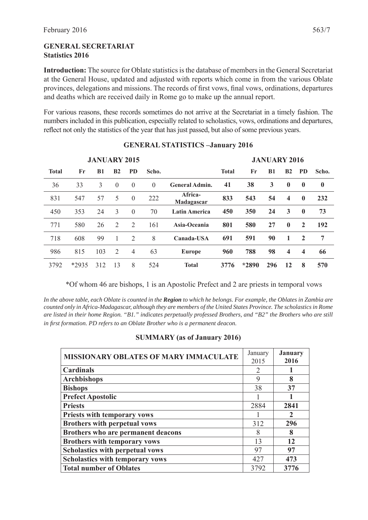#### **GENERAL SECRETARIAT Statistics 2016**

**Introduction:** The source for Oblate statistics is the database of members in the General Secretariat at the General House, updated and adjusted with reports which come in from the various Oblate provinces, delegations and missions. The records of first vows, final vows, ordinations, departures and deaths which are received daily in Rome go to make up the annual report.

For various reasons, these records sometimes do not arrive at the Secretariat in a timely fashion. The numbers included in this publication, especially related to scholastics, vows, ordinations and departures, reflect not only the statistics of the year that has just passed, but also of some previous years.

|              | <b>JANUARY 2015</b> |           |                |                |          |                       |              |       | <b>JANUARY 2016</b> |                         |                         |                |  |  |
|--------------|---------------------|-----------|----------------|----------------|----------|-----------------------|--------------|-------|---------------------|-------------------------|-------------------------|----------------|--|--|
| <b>Total</b> | Fr                  | <b>B1</b> | B <sub>2</sub> | <b>PD</b>      | Scho.    |                       | <b>Total</b> | Fr    | <b>B1</b>           | B <sub>2</sub>          | <b>PD</b>               | Scho.          |  |  |
| 36           | 33                  | 3         | $\theta$       | $\overline{0}$ | $\theta$ | <b>General Admin.</b> | 41           | 38    | 3                   | $\bf{0}$                | $\bf{0}$                | $\bf{0}$       |  |  |
| 831          | 547                 | 57        | 5              | $\theta$       | 222      | Africa-<br>Madagascar | 833          | 543   | 54                  | $\overline{\mathbf{4}}$ | $\mathbf{0}$            | 232            |  |  |
| 450          | 353                 | 24        | 3              | $\theta$       | 70       | <b>Latin America</b>  | 450          | 350   | 24                  | 3                       | $\mathbf 0$             | 73             |  |  |
| 771          | 580                 | 26        | 2              | 2              | 161      | Asia-Oceania          | 801          | 580   | 27                  | $\mathbf{0}$            | $\overline{2}$          | 192            |  |  |
| 718          | 608                 | 99        |                | 2              | 8        | Canada-USA            | 691          | 591   | 90                  | 1                       | $\overline{2}$          | $\overline{7}$ |  |  |
| 986          | 815                 | 103       | 2              | 4              | 63       | <b>Europe</b>         | 960          | 788   | 98                  | $\overline{\mathbf{4}}$ | $\overline{\mathbf{4}}$ | 66             |  |  |
| 3792         | *2935               | 312       | 13             | 8              | 524      | <b>Total</b>          | 3776         | *2890 | 296                 | 12                      | 8                       | 570            |  |  |

#### **GENERAL STATISTICS –January 2016**

\*Of whom 46 are bishops, 1 is an Apostolic Prefect and 2 are priests in temporal vows

*In the above table, each Oblate is counted in the Region to which he belongs. For example, the Oblates in Zambia are counted only in Africa-Madagascar, although they are members of the United States Province. The scholastics in Rome are listed in their home Region. "B1." indicates perpetually professed Brothers, and "B2" the Brothers who are still in fi rst formation. PD refers to an Oblate Brother who is a permanent deacon.*

#### **SUMMARY (as of January 2016)**

| <b>MISSIONARY OBLATES OF MARY IMMACULATE</b> | January<br>2015             | <b>January</b><br>2016 |
|----------------------------------------------|-----------------------------|------------------------|
| <b>Cardinals</b>                             | $\mathcal{D}_{\mathcal{L}}$ |                        |
| <b>Archbishops</b>                           | 9                           | 8                      |
| <b>Bishops</b>                               | 38                          | 37                     |
| <b>Prefect Apostolic</b>                     |                             |                        |
| <b>Priests</b>                               | 2884                        | 2841                   |
| <b>Priests with temporary vows</b>           |                             | $\mathcal{D}$          |
| <b>Brothers with perpetual vows</b>          | 312                         | 296                    |
| Brothers who are permanent deacons           | 8                           | 8                      |
| <b>Brothers with temporary vows</b>          | 13                          | 12                     |
| <b>Scholastics with perpetual vows</b>       | 97                          | 97                     |
| <b>Scholastics with temporary vows</b>       | 427                         | 473                    |
| <b>Total number of Oblates</b>               | 3792                        | 3776                   |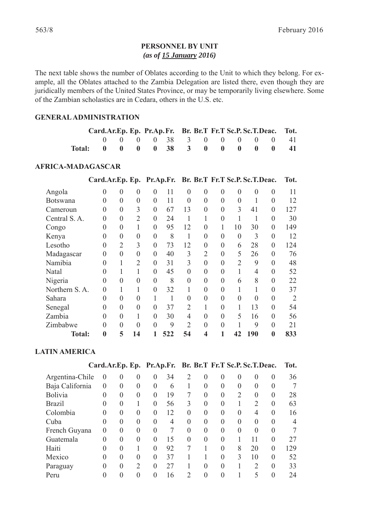#### **PERSONNEL BY UNIT** *(as of 15 January 2016)*

The next table shows the number of Oblates according to the Unit to which they belong. For example, all the Oblates attached to the Zambia Delegation are listed there, even though they are juridically members of the United States Province, or may be temporarily living elsewhere. Some of the Zambian scholastics are in Cedara, others in the U.S. etc.

#### **GENERAL ADMINISTRATION**

| Card.Ar.Ep. Ep. Pr.Ap.Fr. Br. Br.T Fr.T Sc.P.Sc.T.Deac. Tot. |  |                           |  |  |  |  |
|--------------------------------------------------------------|--|---------------------------|--|--|--|--|
|                                                              |  | 0 0 0 0 38 3 0 0 0 0 0 41 |  |  |  |  |
| Total: 0 0 0 0 38 3 0 0 0 0 0 41                             |  |                           |  |  |  |  |

#### **AFRICA-MADAGASCAR**

|                 | Card.Ar.Ep. Ep. Pr.Ap.Fr. |                  |                |                |     |                |                  |                | Br. Br.T Fr.T Sc.P. Sc.T.Deac. |                |                | Tot. |
|-----------------|---------------------------|------------------|----------------|----------------|-----|----------------|------------------|----------------|--------------------------------|----------------|----------------|------|
| Angola          | $\theta$                  | $\overline{0}$   | 0              | $\theta$       | 11  | $\Omega$       | $\overline{0}$   | $\theta$       | 0                              | $\theta$       | $\theta$       | 11   |
| <b>Botswana</b> | $\theta$                  | $\overline{0}$   | $\overline{0}$ | $\overline{0}$ | 11  | $\theta$       | $\overline{0}$   | $\theta$       | $\overline{0}$                 | 1              | $\theta$       | 12   |
| Cameroun        | $\theta$                  | $\boldsymbol{0}$ | 3              | $\overline{0}$ | 67  | 13             | $\boldsymbol{0}$ | $\overline{0}$ | 3                              | 41             | $\theta$       | 127  |
| Central S.A.    | $\overline{0}$            | $\overline{0}$   | $\overline{2}$ | $\theta$       | 24  | 1              |                  | $\theta$       | 1                              |                | 0              | 30   |
| Congo           | 0                         | $\boldsymbol{0}$ |                | $\overline{0}$ | 95  | 12             | $\boldsymbol{0}$ |                | 10                             | 30             | $\overline{0}$ | 149  |
| Kenya           | $\overline{0}$            | $\boldsymbol{0}$ | $\overline{0}$ | $\theta$       | 8   | 1              | $\overline{0}$   | $\overline{0}$ | $\overline{0}$                 | 3              | 0              | 12   |
| Lesotho         | $\overline{0}$            | $\overline{2}$   | 3              | $\overline{0}$ | 73  | 12             | $\boldsymbol{0}$ | $\theta$       | 6                              | 28             | $\overline{0}$ | 124  |
| Madagascar      | $\theta$                  | $\overline{0}$   | $\overline{0}$ | $\overline{0}$ | 40  | 3              | $\overline{2}$   | $\overline{0}$ | 5                              | 26             | $\overline{0}$ | 76   |
| Namibia         | $\theta$                  | $\mathbf{1}$     | $\overline{2}$ | $\overline{0}$ | 31  | 3              | $\overline{0}$   | $\overline{0}$ | $\overline{2}$                 | 9              | $\overline{0}$ | 48   |
| Natal           | $\Omega$                  | 1                |                | $\theta$       | 45  | $\Omega$       | $\overline{0}$   | $\overline{0}$ | 1                              | $\overline{4}$ | $\overline{0}$ | 52   |
| Nigeria         | $\theta$                  | $\overline{0}$   | $\overline{0}$ | $\overline{0}$ | 8   | $\theta$       | $\overline{0}$   | $\theta$       | 6                              | 8              | $\overline{0}$ | 22   |
| Northern S.A.   | $\Omega$                  | 1                |                | $\theta$       | 32  |                | $\overline{0}$   | $\theta$       |                                |                | $\theta$       | 37   |
| Sahara          | $\Omega$                  | $\overline{0}$   | $\theta$       | 1              | 1   | $\Omega$       | $\theta$         | $\theta$       | $\theta$                       | $\overline{0}$ | $\theta$       |      |
| Senegal         | $\Omega$                  | $\overline{0}$   | $\theta$       | $\Omega$       | 37  | $\overline{2}$ | 1                | $\theta$       |                                | 13             | $\theta$       | 54   |
| Zambia          | $\Omega$                  | $\overline{0}$   |                | $\theta$       | 30  | 4              | $\theta$         | $\theta$       | 5                              | 16             | $\theta$       | 56   |
| Zimbabwe        | $\Omega$                  | $\overline{0}$   | $\theta$       | $\overline{0}$ | 9   | $\overline{2}$ | $\theta$         | $\Omega$       |                                | 9              | $\theta$       | 21   |
| <b>Total:</b>   | $\bf{0}$                  | 5                | 14             |                | 522 | 54             | 4                |                | 42                             | 190            | $\bf{0}$       | 833  |

#### **LATIN AMERICA**

|                 | Card.Ar.Ep. Ep. Pr.Ap.Fr. Br. Br.T Fr.T Sc.P. Sc.T.Deac. |                |               |          |                |                |          |          |                |               |          | Tot. |
|-----------------|----------------------------------------------------------|----------------|---------------|----------|----------------|----------------|----------|----------|----------------|---------------|----------|------|
| Argentina-Chile | $\theta$                                                 | $\Omega$       | $\Omega$      | $\theta$ | 34             | $\overline{2}$ | $\theta$ | $\Omega$ | $\theta$       | $\Omega$      | $\theta$ | 36   |
| Baja California | $\Omega$                                                 | $\theta$       | $\theta$      | $\theta$ | 6              |                | 0        | $\Omega$ | $\theta$       | $\theta$      | 0        | 7    |
| Bolivia         | $\theta$                                                 | $\overline{0}$ | $\theta$      | $\theta$ | 19             | 7              | $\theta$ | $\theta$ | 2              | $\theta$      | $\theta$ | 28   |
| <b>Brazil</b>   | $\Omega$                                                 | $\theta$       |               | $\theta$ | 56             | 3              | $\theta$ | $\Omega$ |                | 2             | $\Omega$ | 63   |
| Colombia        | $\Omega$                                                 | $\theta$       | $\Omega$      | $\Omega$ | 12             | $\Omega$       | $\theta$ | $\theta$ | $\theta$       | 4             | $\Omega$ | 16   |
| Cuba            | 0                                                        | $\theta$       | $\theta$      | $\theta$ | $\overline{4}$ | $\theta$       | $\theta$ | $\theta$ | $\overline{0}$ | $\Omega$      | $\theta$ | 4    |
| French Guyana   | $\Omega$                                                 | $\Omega$       | $\theta$      | $\theta$ |                | $\Omega$       | $\theta$ | 0        | $\overline{0}$ | $\Omega$      | 0        |      |
| Guatemala       | $\Omega$                                                 | $\theta$       | $\theta$      | $\theta$ | 15             | $\Omega$       | $\theta$ | 0        |                | 11            | $\Omega$ | 27   |
| Haiti           | $\theta$                                                 | $\overline{0}$ |               | $\theta$ | 92             |                |          | 0        | 8              | 20            | $\theta$ | 129  |
| Mexico          | $\Omega$                                                 | $\theta$       | $\Omega$      | $\theta$ | 37             |                |          | $\Omega$ | 3              | 10            | $\Omega$ | 52   |
| Paraguay        | $\Omega$                                                 | $\theta$       | $\mathcal{D}$ | $\theta$ | 27             |                | $\Omega$ | $\Omega$ |                | $\mathcal{D}$ | $\Omega$ | 33   |
| Peru            |                                                          | $\theta$       | $\theta$      | $\Omega$ | 16             | $\mathcal{D}$  | $\theta$ |          |                | 5             | $\Omega$ | 24   |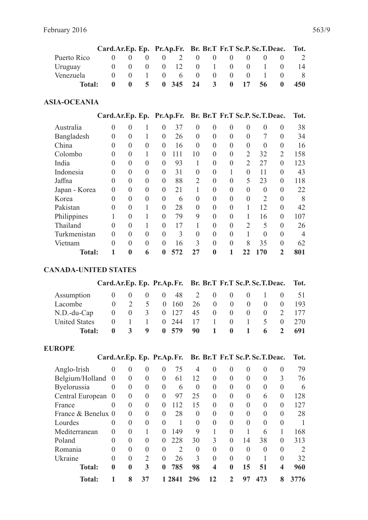|             | Card.Ar.Ep. Ep. Pr.Ap.Fr. Br. Br.T Fr.T Sc.P. Sc.T.Deac. Tot. |                |                          |                  |              |                  |             |                   |                  |            |
|-------------|---------------------------------------------------------------|----------------|--------------------------|------------------|--------------|------------------|-------------|-------------------|------------------|------------|
| Puerto Rico |                                                               |                | 2                        | $\left( \right)$ | (            |                  | $(1)$ $(1)$ |                   |                  | -2         |
| Uruguay     |                                                               |                | $0 \t 0 \t 12 \t 0 \t 1$ |                  |              |                  | $(1)$ $(1)$ | $\mathbf{1}$      | $\left( \right)$ | 14         |
| Venezuela   |                                                               |                | $0 \quad 6 \quad 0$      |                  |              | $\left( \right)$ | $(1)$ $(1)$ | $\mathbf{L}$      |                  | - 81       |
| Total:      | $\mathbf{u}$                                                  | 5 <sup>7</sup> | $0\quad 345\quad 24$     |                  | $\mathbf{3}$ |                  |             | $0 \t17 \t56 \t0$ |                  | <b>450</b> |

#### **ASIA-OCEANIA**

|               | Card.Ar.Ep. Ep. Pr.Ap.Fr. Br. Br.T Fr.T Sc.P. Sc.T.Deac. |                  |                |                |     |                |                |                |                |                |                | Tot. |
|---------------|----------------------------------------------------------|------------------|----------------|----------------|-----|----------------|----------------|----------------|----------------|----------------|----------------|------|
| Australia     | $\theta$                                                 | $\theta$         |                | 0              | 37  | $\Omega$       | $\overline{0}$ | $\theta$       | $\theta$       | $\theta$       | $\theta$       | 38   |
| Bangladesh    | $\theta$                                                 | $\overline{0}$   |                | $\overline{0}$ | 26  | $\theta$       | $\theta$       | $\overline{0}$ | $\theta$       |                | $\theta$       | 34   |
| China         | $\theta$                                                 | $\overline{0}$   | $\theta$       | $\theta$       | 16  | $\theta$       | $\overline{0}$ | $\overline{0}$ | $\theta$       | $\Omega$       | $\theta$       | 16   |
| Colombo       | 0                                                        | $\overline{0}$   |                | $\Omega$       | 111 | 10             | $\theta$       | $\Omega$       | $\overline{2}$ | 32             | $\overline{2}$ | 158  |
| India         | $\Omega$                                                 | $\boldsymbol{0}$ | $\theta$       | $\theta$       | 93  |                | $\theta$       | $\overline{0}$ | 2              | 27             | $\theta$       | 123  |
| Indonesia     | 0                                                        | $\overline{0}$   | 0              | $\overline{0}$ | 31  | $\theta$       | $\overline{0}$ |                | $\theta$       | 11             | $\theta$       | 43   |
| Jaffna        | $\Omega$                                                 | $\overline{0}$   | $\theta$       | $\theta$       | 88  | $\overline{2}$ | $\theta$       | $\overline{0}$ | 5              | 23             | $\theta$       | 118  |
| Japan - Korea | 0                                                        | $\overline{0}$   | $\theta$       | $\theta$       | 21  |                | $\Omega$       | $\Omega$       | $\theta$       | $\Omega$       | $\Omega$       | 22   |
| Korea         | 0                                                        | $\boldsymbol{0}$ | $\overline{0}$ | $\theta$       | 6   | 0              | $\theta$       | $\theta$       | $\theta$       | $\overline{2}$ | $\theta$       | 8    |
| Pakistan      | 0                                                        | $\overline{0}$   |                | $\theta$       | 28  | $\theta$       | $\theta$       | $\overline{0}$ |                | 12             | $\theta$       | 42   |
| Philippines   |                                                          | $\theta$         |                | $\theta$       | 79  | 9              | $\theta$       | $\theta$       |                | 16             | $\Omega$       | 107  |
| Thailand      | 0                                                        | $\theta$         |                | $\theta$       | 17  |                | $\Omega$       | $\Omega$       | $\overline{2}$ | 5              | $\Omega$       | 26   |
| Turkmenistan  | 0                                                        | $\overline{0}$   | $\overline{0}$ | $\theta$       | 3   | $\theta$       | $\theta$       | $\overline{0}$ |                | $\theta$       | $\theta$       | 4    |
| Vietnam       | $\theta$                                                 | $\theta$         | $\theta$       | $\theta$       | 16  | 3              | $\theta$       | $\theta$       | 8              | 35             | $\theta$       | 62   |
| <b>Total:</b> |                                                          | $\bf{0}$         | 6              | 0              | 572 | 27             | 0              |                | 22             | 170            | $\overline{2}$ | 801  |

#### **CANADA-UNITED STATES**

|                      | Card.Ar.Ep. Ep. Pr.Ap.Fr. Br. Br.T Fr.T Sc.P. Sc.T.Deac. Tot. |              |          |                        |           |                       |                |                      |                                                |                  |                                        |            |
|----------------------|---------------------------------------------------------------|--------------|----------|------------------------|-----------|-----------------------|----------------|----------------------|------------------------------------------------|------------------|----------------------------------------|------------|
| Assumption           |                                                               | $0 \quad 0$  | $\theta$ |                        | $0 \t 48$ | 2                     | $\overline{0}$ | $\left( \right)$     | $\begin{array}{c} 0 \end{array}$               |                  | $\begin{array}{ccc} & & 0 \end{array}$ |            |
| Lacombe              |                                                               | $\mathbf{0}$ | 5.       | $\Omega$               |           | 160 26                |                | $\theta$<br>$\Omega$ | $\theta$                                       | $\left( \right)$ | $\theta$                               | - 193      |
| $N.D.-du-Cap$        | $\Omega$                                                      | $0 \quad 3$  |          |                        |           | 0 127 45              | $\overline{0}$ | $\Omega$             | $\left( \right)$                               | $\mathbf{0}$     | 2                                      | 177        |
| <b>United States</b> | $\Omega$                                                      |              |          | $1 \quad \blacksquare$ |           | $0\quad 244 \quad 17$ |                | $\theta$             | $\mathbf{I}$ and $\mathbf{I}$ and $\mathbf{I}$ | 5 <sup>7</sup>   |                                        | $0 \t 270$ |
| <b>Total:</b>        |                                                               |              | 9        |                        | 0.579     | 90                    | $\sim$ 1.      | $\mathbf{0}$         | 1.                                             | 6                |                                        | 691        |

### **EUROPE**

|                    |                | Card.Ar.Ep. Ep. Pr.Ap.Fr. |               |                |                |               |          |                | Br. Br.T Fr.T Sc.P. Sc.T.Deac. |          |                         | Tot.                        |
|--------------------|----------------|---------------------------|---------------|----------------|----------------|---------------|----------|----------------|--------------------------------|----------|-------------------------|-----------------------------|
| Anglo-Irish        | $\Omega$       | $\theta$                  | $\Omega$      | $\Omega$       | 75             | 4             | $\theta$ | $\Omega$       | $\theta$                       | $\Omega$ | $\Omega$                | 79                          |
| Belgium/Holland    | $\overline{0}$ | $\theta$                  | $\theta$      | $\overline{0}$ | 61             | 12            | $\theta$ | $\Omega$       | $\theta$                       | $\theta$ | 3                       | 76                          |
| Byelorussia        | $\theta$       | $\theta$                  | $\theta$      | $\overline{0}$ | 6              | $\Omega$      | $\theta$ | 0              | $\theta$                       | $\Omega$ | $\theta$                | 6                           |
| Central European   | 0              | $\theta$                  | $\Omega$      | $\Omega$       | 97             | 25            | $\theta$ | $\Omega$       | $\theta$                       | 6        | $\Omega$                | 128                         |
| France             | $\theta$       | $\theta$                  | $\theta$      | $\Omega$       | 112            | 15            | $\theta$ | 0              | $\theta$                       | $\theta$ | $\theta$                | 127                         |
| France & Benelux 0 |                | $\theta$                  | $\theta$      | $\Omega$       | 28             | $\Omega$      | $\theta$ | 0              | $\theta$                       | $\Omega$ | $\Omega$                | 28                          |
| Lourdes            | $\theta$       | $\theta$                  | $\Omega$      | $\Omega$       |                | $\theta$      | $\theta$ | $\theta$       | $\theta$                       | $\Omega$ | $\theta$                |                             |
| Mediterranean      | $\Omega$       | $\theta$                  |               | $\Omega$       | 149            | 9             |          | $\theta$       |                                | 6        |                         | 168                         |
| Poland             | 0              | $\theta$                  | $\Omega$      | $\Omega$       | 228            | 30            | 3        | $\Omega$       | 14                             | 38       | $\theta$                | 313                         |
| Romania            | 0              | $\Omega$                  | $\Omega$      | $\theta$       | $\overline{2}$ | $\Omega$      | $\theta$ | $\Omega$       | $\theta$                       | $\Omega$ | $\Omega$                | $\mathcal{D}_{\mathcal{A}}$ |
| Ukraine            | $\Omega$       | $\Omega$                  | $\mathcal{D}$ | $\Omega$       | 26             | $\mathcal{R}$ | $\theta$ | 0              | $\theta$                       |          | $\Omega$                | 32                          |
| <b>Total:</b>      | $\bf{0}$       | $\boldsymbol{0}$          | 3             | $\mathbf{0}$   | 785            | 98            | 4        | 0              | 15                             | 51       | $\overline{\mathbf{4}}$ | 960                         |
| <b>Total:</b>      |                | 8                         | 37            |                | 1 2 8 4 1      | 296           | 12       | $\mathfrak{D}$ | 97                             | 473      | 8                       | 3776                        |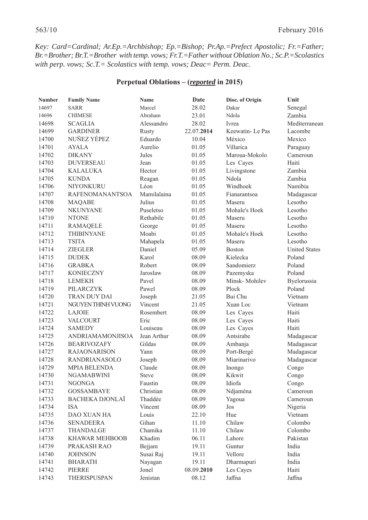*Key: Card=Cardinal; Ar.Ep.=Archbishop; Ep.=Bishop; Pr.Ap.=Prefect Apostolic; Fr.=Father; Br.=Brother; Br.T.=Brother with temp. vows; Fr.T.=Father without Oblation No.; Sc.P.=Scolastics with perp. vows; Sc.T.= Scolastics with temp. vows; Deac= Perm. Deac.*

#### **Perpetual Oblations – (***reported* **in 2015)**

| <b>Number</b> | <b>Family Name</b>      | <b>Name</b> | Date       | Dioc. of Origin | Unit                 |
|---------------|-------------------------|-------------|------------|-----------------|----------------------|
| 14697         | <b>SARR</b>             | Marcel      | 28.02      | Dakar           | Senegal              |
| 14696         | <b>CHIMESE</b>          | Abraham     | 23.01      | Ndola           | Zambia               |
| 14698         | <b>SCAGLIA</b>          | Alessandro  | 28.02      | Ivrea           | Mediterranean        |
| 14699         | <b>GARDINER</b>         | Rusty       | 22.07.2014 | Keewatin-Le Pas | Lacombe              |
| 14700         | NUÑEZ YÉPEZ             | Eduardo     | 10.04      | México          | Mexico               |
| 14701         | <b>AYALA</b>            | Aurelio     | 01.05      | Villarica       | Paraguay             |
| 14702         | <b>DIKANY</b>           | Jules       | 01.05      | Maroua-Mokolo   | Cameroun             |
| 14703         | <b>DUVERSEAU</b>        | Jean        | 01.05      | Les Cayes       | Haiti                |
| 14704         | <b>KALALUKA</b>         | Hector      | 01.05      | Livingstone     | Zambia               |
| 14705         | <b>KUNDA</b>            | Reagan      | 01.05      | <b>Ndola</b>    | Zambia               |
| 14706         | NIYONKURU               | Léon        | 01.05      | Windhoek        | Namibia              |
| 14707         | RAFENOMANANTSOA         | Mamilalaina | 01.05      | Fianarantsoa    | Madagascar           |
| 14708         | <b>MAQABE</b>           | Julius      | 01.05      | Maseru          | Lesotho              |
| 14709         | <b>NKUNYANE</b>         | Puseletso   | 01.05      | Mohale's Hoek   | Lesotho              |
| 14710         | <b>NTONE</b>            | Rethabile   | 01.05      | Maseru          | Lesotho              |
| 14711         | <b>RAMAQELE</b>         | George      | 01.05      | Maseru          | Lesotho              |
| 14712         | <b>THIBINYANE</b>       | Moabi       | 01.05      | Mohale's Hoek   | Lesotho              |
| 14713         | <b>TSITA</b>            | Mahapela    | 01.05      | Maseru          | Lesotho              |
| 14714         | <b>ZIEGLER</b>          | Daniel      | 05.09      | <b>Boston</b>   | <b>United States</b> |
| 14715         | <b>DUDEK</b>            | Karol       | 08.09      | Kielecka        | Poland               |
| 14716         | <b>GRABKA</b>           | Robert      | 08.09      | Sandomierz      | Poland               |
| 14717         | <b>KONIECZNY</b>        | Jaroslaw    | 08.09      | Pazemyska       | Poland               |
| 14718         | <b>LEMEKH</b>           | Pavel       | 08.09      | Minsk-Mohilev   | Byelorussia          |
| 14719         | PILARCZYK               | Pawel       | 08.09      | Plock           | Poland               |
| 14720         | TRAN DUY DAI            | Joseph      | 21.05      | Bui Chu         | Vietnam              |
| 14721         | NGUYEN THINH VUONG      | Vincent     | 21.05      | Xuan Loc        | Vietnam              |
| 14722         | <b>LAJOIE</b>           | Rosembert   | 08.09      | Les Cayes       | Haiti                |
| 14723         | VALCOURT                | Eric        | 08.09      | Les Cayes       | Haiti                |
| 14724         | <b>SAMEDY</b>           | Louiseau    | 08.09      | Les Cayes       | Haiti                |
| 14725         | <b>ANDRIAMAMONJISOA</b> | Jean Arthur | 08.09      | Antsirabe       | Madagascar           |
| 14726         | <b>BEARIVOZAFY</b>      | Gildas      | 08.09      | Ambanja         | Madagascar           |
| 14727         | <b>RAJAONARISON</b>     | Yann        | 08.09      | Port-Bergé      | Madagascar           |
| 14728         | <b>RANDRIANASOLO</b>    | Joseph      | 08.09      | Miarinarivo     | Madagascar           |
| 14729         | <b>MPIA BELENDA</b>     | Claude      | 08.09      | Inongo          | Congo                |
| 14730         | <b>NGAMABWINI</b>       | Steve       | 08.09      | Kikwit          | Congo                |
| 14731         | <b>NGONGA</b>           | Faustin     | 08.09      | Idiofa          | Congo                |
| 14732         | <b>GOSSAMBAYE</b>       | Christian   | 08.09      | Ndjaména        | Cameroun             |
| 14733         | <b>BACHEKA DJONLAÏ</b>  | Thaddée     | 08.09      | Yagoua          | Cameroun             |
| 14734         | <b>ISA</b>              | Vincent     | 08.09      | Jos             | Nigeria              |
| 14735         | <b>DAO XUAN HA</b>      | Louis       | 22.10      | Hue             | Vietnam              |
| 14736         | <b>SENADEERA</b>        | Gihan       | 11.10      | Chilaw          | Colombo              |
| 14737         | THANDALGE               | Chamika     | 11.10      | Chilaw          | Colombo              |
| 14738         | <b>KHAWAR MEHBOOB</b>   | Khadim      | 06.11      | Lahore          | Pakistan             |
| 14739         | PRAKASH RAO             | Bejjam      | 19.11      | Guntur          | India                |
| 14740         | <b>JOHNSON</b>          | Susai Raj   | 19.11      | Vellore         | India                |
| 14741         | <b>BHARATH</b>          | Nayagan     | 19.11      | Dharmapuri      | India                |
| 14742         | <b>PIERRE</b>           | Jonel       | 08.09.2010 | Les Cayes       | Haiti                |
| 14743         | THERISPUSPAN            | Jenistan    | 08.12      | Jaffna          | Jaffna               |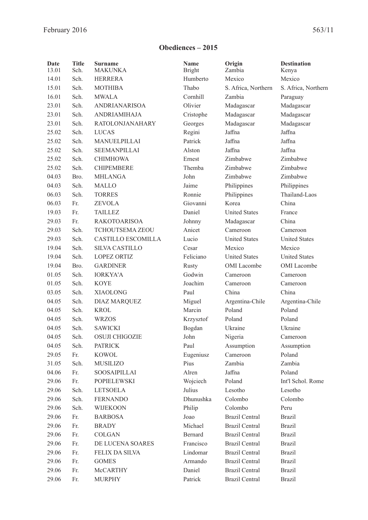# **Obediences – 2015**

| Date<br>13.01 | <b>Title</b><br>Sch.  | <b>Surname</b><br><b>MAKUNKA</b> | <b>Name</b><br><b>Bright</b> | Origin<br>Zambia      | <b>Destination</b><br>Kenya |
|---------------|-----------------------|----------------------------------|------------------------------|-----------------------|-----------------------------|
| 14.01         | Sch.                  | <b>HERRERA</b>                   | Humberto                     | Mexico                | Mexico                      |
| 15.01         | Sch.                  | <b>MOTHIBA</b>                   | Thabo                        | S. Africa, Northern   | S. Africa, Northern         |
| 16.01         | Sch.                  | <b>MWALA</b>                     | Cornhill                     | Zambia                | Paraguay                    |
| 23.01         | Sch.                  | <b>ANDRIANARISOA</b>             | Olivier                      | Madagascar            | Madagascar                  |
| 23.01         | Sch.                  | <b>ANDRIAMIHAJA</b>              | Cristophe                    | Madagascar            | Madagascar                  |
| 23.01         | Sch.                  | <b>RATOLONJANAHARY</b>           | Georges                      | Madagascar            | Madagascar                  |
| 25.02         | Sch.                  | <b>LUCAS</b>                     | Regini                       | Jaffna                | Jaffna                      |
| 25.02         | Sch.                  | MANUELPILLAI                     | Patrick                      | Jaffna                | Jaffna                      |
| 25.02         | Sch.                  | <b>SEEMANPILLAI</b>              | Alston                       | Jaffna                | Jaffna                      |
| 25.02         | Sch.                  | <b>CHIMHOWA</b>                  | Ernest                       | Zimbabwe              | Zimbabwe                    |
| 25.02         | Sch.                  | <b>CHIPEMBERE</b>                | Themba                       | Zimbabwe              | Zimbabwe                    |
| 04.03         | Bro.                  | <b>MHLANGA</b>                   | John                         | Zimbabwe              | Zimbabwe                    |
| 04.03         | Sch.                  | <b>MALLO</b>                     | Jaime                        | Philippines           | Philippines                 |
| 06.03         | Sch.                  | <b>TORRES</b>                    | Ronnie                       | Philippines           | Thailand-Laos               |
| 06.03         | Fr.                   | <b>ZEVOLA</b>                    | Giovanni                     | Korea                 | China                       |
| 19.03         | Fr.                   | <b>TAILLEZ</b>                   | Daniel                       | <b>United States</b>  | France                      |
| 29.03         | Fr.                   | <b>RAKOTOARISOA</b>              | Johnny                       | Madagascar            | China                       |
| 29.03         | Sch.                  | <b>TCHOUTSEMA ZEOU</b>           | Anicet                       | Cameroon              | Cameroon                    |
| 29.03         | Sch.                  | <b>CASTILLO ESCOMILLA</b>        | Lucio                        | <b>United States</b>  | <b>United States</b>        |
| 19.04         | Sch.                  | <b>SILVA CASTILLO</b>            | Cesar                        | Mexico                | Mexico                      |
| 19.04         | Sch.                  | <b>LOPEZ ORTIZ</b>               | Feliciano                    | <b>United States</b>  | <b>United States</b>        |
| 19.04         | Bro.                  | <b>GARDINER</b>                  | <b>Rusty</b>                 | OMI Lacombe           | OMI Lacombe                 |
| 01.05         | Sch.                  | <b>IORKYA'A</b>                  | Godwin                       |                       |                             |
|               | Sch.                  | <b>KOYE</b>                      | Joachim                      | Cameroon              | Cameroon                    |
| 01.05         |                       |                                  |                              | Cameroon              | Cameroon                    |
| 03.05         | Sch.                  | <b>XIAOLONG</b>                  | Paul                         | China                 | China                       |
| 04.05         | Sch.                  | <b>DIAZ MARQUEZ</b>              | Miguel                       | Argentina-Chile       | Argentina-Chile             |
| 04.05         | Sch.                  | <b>KROL</b>                      | Marcin                       | Poland                | Poland                      |
| 04.05         | Sch.                  | <b>WRZOS</b>                     | Krzysztof                    | Poland                | Poland                      |
| 04.05         | Sch.                  | <b>SAWICKI</b>                   | Bogdan                       | Ukraine               | Ukraine                     |
| 04.05         | Sch.                  | <b>OSUJI CHIGOZIE</b>            | John                         | Nigeria               | $C$ ameroon                 |
| 04.05         | Sch.                  | <b>PATRICK</b>                   | Paul                         | Assumption            | Assumption                  |
| 29.05         | Fr.                   | <b>KOWOL</b>                     | Eugeniusz                    | Cameroon              | Poland                      |
| 31.05         | Sch.                  | <b>MUSILIZO</b>                  | Pius                         | Zambia                | Zambia                      |
| 04.06         | Fr.                   | SOOSAIPILLAI                     | Alren                        | Jaffna                | Poland                      |
| 29.06         | Fr.                   | <b>POPIELEWSKI</b>               | Wojciech                     | Poland                | Int'l Schol. Rome           |
| 29.06         | Sch.                  | <b>LETSOELA</b>                  | Julius                       | Lesotho               | Lesotho                     |
| 29.06         | Sch.                  | <b>FERNANDO</b>                  | Dhunushka                    | Colombo               | Colombo                     |
| 29.06         | Sch.                  | WIJEKOON                         | Philip                       | Colombo               | Peru                        |
| 29.06         | Fr.                   | <b>BARBOSA</b>                   | Joao                         | <b>Brazil Central</b> | <b>Brazil</b>               |
| 29.06         | $\mathop{\text{Fr.}}$ | <b>BRADY</b>                     | Michael                      | <b>Brazil Central</b> | <b>Brazil</b>               |
| 29.06         | Fr.                   | <b>COLGAN</b>                    | Bernard                      | <b>Brazil Central</b> | <b>Brazil</b>               |
| 29.06         | Fr.                   | DE LUCENA SOARES                 | Francisco                    | <b>Brazil Central</b> | <b>Brazil</b>               |
| 29.06         | Fr.                   | <b>FELIX DA SILVA</b>            | Lindomar                     | <b>Brazil Central</b> | <b>Brazil</b>               |
| 29.06         | Fr.                   | <b>GOMES</b>                     | Armando                      | <b>Brazil Central</b> | <b>Brazil</b>               |
| 29.06         | Fr.                   | McCARTHY                         | Daniel                       | <b>Brazil Central</b> | <b>Brazil</b>               |
| 29.06         | Fr.                   | <b>MURPHY</b>                    | Patrick                      | <b>Brazil Central</b> | <b>Brazil</b>               |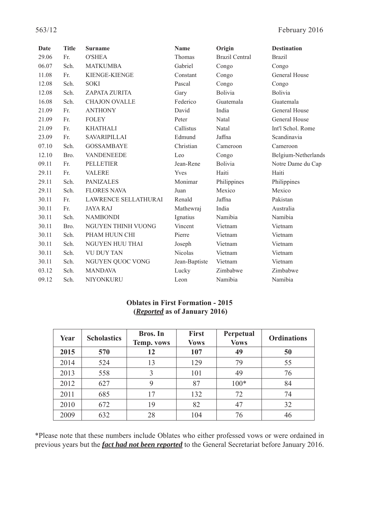| <b>Date</b> | <b>Title</b> | <b>Surname</b>              | Name          | Origin                | <b>Destination</b>  |
|-------------|--------------|-----------------------------|---------------|-----------------------|---------------------|
| 29.06       | Fr.          | <b>O'SHEA</b>               | Thomas        | <b>Brazil Central</b> | <b>Brazil</b>       |
| 06.07       | Sch.         | <b>MATKUMBA</b>             | Gabriel       | Congo                 | Congo               |
| 11.08       | Fr.          | KIENGE-KIENGE               | Constant      | Congo                 | General House       |
| 12.08       | Sch.         | <b>SOKI</b>                 | Pascal        | Congo                 | Congo               |
| 12.08       | Sch.         | ZAPATA ZURITA               | Gary          | Bolivia               | Bolivia             |
| 16.08       | Sch.         | <b>CHAJON OVALLE</b>        | Federico      | Guatemala             | Guatemala           |
| 21.09       | Fr.          | <b>ANTHONY</b>              | David         | India                 | General House       |
| 21.09       | Fr.          | <b>FOLEY</b>                | Peter         | Natal                 | General House       |
| 21.09       | Fr.          | <b>KHATHALI</b>             | Callistus     | Natal                 | Int'l Schol. Rome   |
| 23.09       | Fr.          | SAVARIPILLAI                | Edmund        | Jaffna                | Scandinavia         |
| 07.10       | Sch.         | <b>GOSSAMBAYE</b>           | Christian     | Cameroon              | Cameroon            |
| 12.10       | Bro.         | VANDENEEDE                  | Leo           | Congo                 | Belgium-Netherlands |
| 09.11       | Fr.          | <b>PELLETIER</b>            | Jean-Rene     | Bolivia               | Notre Dame du Cap   |
| 29.11       | Fr.          | <b>VALERE</b>               | Yves          | Haiti                 | Haiti               |
| 29.11       | Sch.         | <b>PANIZALES</b>            | Monimar       | Philippines           | Philippines         |
| 29.11       | Sch.         | <b>FLORES NAVA</b>          | Juan          | Mexico                | Mexico              |
| 30.11       | Fr.          | <b>LAWRENCE SELLATHURAI</b> | Renald        | Jaffna                | Pakistan            |
| 30.11       | Fr.          | <b>JAYA RAJ</b>             | Mathewraj     | India                 | Australia           |
| 30.11       | Sch.         | <b>NAMBONDI</b>             | Ignatius      | Namibia               | Namibia             |
| 30.11       | Bro.         | NGUYEN THINH VUONG          | Vincent       | Vietnam               | Vietnam             |
| 30.11       | Sch.         | PHAM HUUN CHI               | Pierre        | Vietnam               | Vietnam             |
| 30.11       | Sch.         | NGUYEN HUU THAI             | Joseph        | Vietnam               | Vietnam             |
| 30.11       | Sch.         | <b>VU DUY TAN</b>           | Nicolas       | Vietnam               | Vietnam             |
| 30.11       | Sch.         | NGUYEN QUOC VONG            | Jean-Baptiste | Vietnam               | Vietnam             |
| 03.12       | Sch.         | <b>MANDAVA</b>              | Lucky         | Zimbabwe              | Zimbabwe            |
| 09.12       | Sch.         | NIYONKURU                   | Leon          | Namibia               | Namibia             |

#### **Oblates in First Formation - 2015 (***Reported* **as of January 2016)**

| Year | <b>Scholastics</b> | <b>Bros.</b> In<br>Temp. vows | <b>First</b><br><b>Vows</b> | Perpetual<br><b>Vows</b> | <b>Ordinations</b> |
|------|--------------------|-------------------------------|-----------------------------|--------------------------|--------------------|
| 2015 | 570                | 12                            | 107                         | 49                       | 50                 |
| 2014 | 524                | 13                            | 129                         | 79                       | 55                 |
| 2013 | 558                | 3                             | 101                         | 49                       | 76                 |
| 2012 | 627                | 9                             | 87                          | $100*$                   | 84                 |
| 2011 | 685                | 17                            | 132                         | 72                       | 74                 |
| 2010 | 672                | 19                            | 82                          | 47                       | 32                 |
| 2009 | 632                | 28                            | 104                         | 76                       | 46                 |

\*Please note that these numbers include Oblates who either professed vows or were ordained in previous years but the *fact had not been reported* to the General Secretariat before January 2016.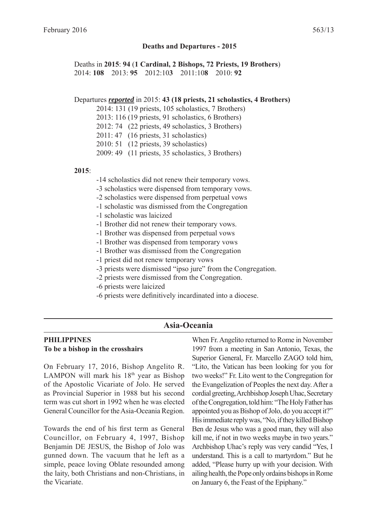#### **Deaths and Departures - 2015**

Deaths in **2015**: **94** (**1 Cardinal, 2 Bishops, 72 Priests, 19 Brothers**) 2014: **108** 2013: **95** 2012:10**3** 2011:10**8** 2010: **92**

#### Departures *reported* in 2015: **43 (18 priests, 21 scholastics, 4 Brothers)**

2014: 131 (19 priests, 105 scholastics, 7 Brothers)

2013: 116 (19 priests, 91 scholastics, 6 Brothers)

2012: 74 (22 priests, 49 scholastics, 3 Brothers)

2011: 47 (16 priests, 31 scholastics)

2010: 51 (12 priests, 39 scholastics)

2009: 49 (11 priests, 35 scholastics, 3 Brothers)

#### **2015**:

-14 scholastics did not renew their temporary vows.

-3 scholastics were dispensed from temporary vows.

-2 scholastics were dispensed from perpetual vows

- -1 scholastic was dismissed from the Congregation
- -1 scholastic was laicized
- -1 Brother did not renew their temporary vows.
- -1 Brother was dispensed from perpetual vows
- -1 Brother was dispensed from temporary vows
- -1 Brother was dismissed from the Congregation
- -1 priest did not renew temporary vows
- -3 priests were dismissed "ipso jure" from the Congregation.
- -2 priests were dismissed from the Congregation.
- -6 priests were laicized
- -6 priests were definitively incardinated into a diocese.

#### **Asia-Oceania**

#### **PHILIPPINES To be a bishop in the crosshairs**

On February 17, 2016, Bishop Angelito R. LAMPON will mark his  $18<sup>th</sup>$  year as Bishop of the Apostolic Vicariate of Jolo. He served as Provincial Superior in 1988 but his second term was cut short in 1992 when he was elected General Councillor for the Asia-Oceania Region.

Towards the end of his first term as General Councillor, on February 4, 1997, Bishop Benjamin DE JESUS, the Bishop of Jolo was gunned down. The vacuum that he left as a simple, peace loving Oblate resounded among the laity, both Christians and non-Christians, in the Vicariate.

When Fr. Angelito returned to Rome in November 1997 from a meeting in San Antonio, Texas, the Superior General, Fr. Marcello ZAGO told him, "Lito, the Vatican has been looking for you for two weeks!" Fr. Lito went to the Congregation for the Evangelization of Peoples the next day. After a cordial greeting, Archbishop Joseph Uhac, Secretary of the Congregation, told him: "The Holy Father has appointed you as Bishop of Jolo, do you accept it?" His immediate reply was, "No, if they killed Bishop Ben de Jesus who was a good man, they will also kill me, if not in two weeks maybe in two years." Archbishop Uhac's reply was very candid "Yes, I understand. This is a call to martyrdom." But he added, "Please hurry up with your decision. With ailing health, the Pope only ordains bishops in Rome on January 6, the Feast of the Epiphany."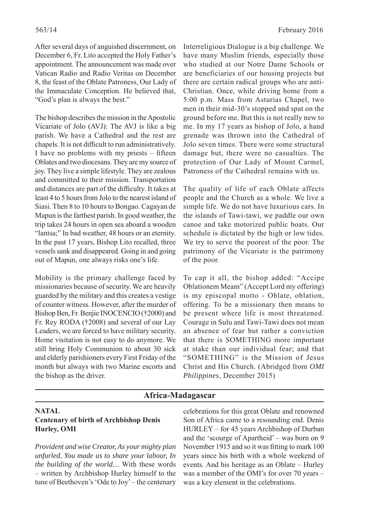After several days of anguished discernment, on December 6, Fr. Lito accepted the Holy Father's appointment. The announcement was made over Vatican Radio and Radio Veritas on December 8, the feast of the Oblate Patroness, Our Lady of the Immaculate Conception. He believed that, "God's plan is always the best."

The bishop describes the mission in the Apostolic Vicariate of Jolo (AVJ): The AVJ is like a big parish. We have a Cathedral and the rest are chapels. It is not difficult to run administratively. I have no problems with my priests  $-$  fifteen Oblates and two diocesans. They are my source of joy. They live a simple lifestyle. They are zealous and committed to their mission. Transportation and distances are part of the difficulty. It takes at least 4 to 5 hours from Jolo to the nearest island of Siasi. Then 8 to 10 hours to Bongao. Cagayan de Mapun is the farthest parish. In good weather, the trip takes 24 hours in open sea aboard a wooden "lantsa;" In bad weather, 48 hours or an eternity. In the past 17 years, Bishop Lito recalled, three vessels sank and disappeared. Going in and going out of Mapun, one always risks one's life.

Mobility is the primary challenge faced by missionaries because of security. We are heavily guarded by the military and this creates a vestige of counter witness. However, after the murder of Bishop Ben, Fr. Benjie INOCENCIO (†2000) and Fr. Rey RODA (†2008) and several of our Lay Leaders, we are forced to have military security. Home visitation is not easy to do anymore. We still bring Holy Communion to about 30 sick and elderly parishioners every First Friday of the month but always with two Marine escorts and the bishop as the driver.

Interreligious Dialogue is a big challenge. We have many Muslim friends, especially those who studied at our Notre Dame Schools or are beneficiaries of our housing projects but there are certain radical groups who are anti-Christian. Once, while driving home from a 5:00 p.m. Mass from Asturias Chapel, two men in their mid-30's stopped and spat on the ground before me. But this is not really new to me. In my 17 years as bishop of Jolo, a hand grenade was thrown into the Cathedral of Jolo seven times. There were some structural damage but, there were no casualties. The protection of Our Lady of Mount Carmel, Patroness of the Cathedral remains with us.

The quality of life of each Oblate affects people and the Church as a whole. We live a simple life. We do not have luxurious cars. In the islands of Tawi-tawi, we paddle our own canoe and take motorized public boats. Our schedule is dictated by the high or low tides. We try to serve the poorest of the poor. The patrimony of the Vicariate is the patrimony of the poor.

To cap it all, the bishop added: "Accipe Oblationem Meam" (Accept Lord my offering) is my episcopal motto - Oblate, oblation, offering. To be a missionary then means to be present where life is most threatened. Courage in Sulu and Tawi-Tawi does not mean an absence of fear but rather a conviction that there is SOMETHING more important at stake than our individual fear; and that "SOMETHING" is the Mission of Jesus Christ and His Church. (Abridged from *OMI Philippines*, December 2015)

#### **Africa-Madagascar**

#### **NATAL Centenary of birth of Archbishop Denis Hurley, OMI**

*Provident and wise Creator, As your mighty plan unfurled, You made us to share your labour, In the building of the world…* With these words – written by Archbishop Hurley himself to the tune of Beethoven's 'Ode to Joy' – the centenary

celebrations for this great Oblate and renowned Son of Africa came to a resounding end. Denis HURLEY – for 45 years Archbishop of Durban and the 'scourge of Apartheid' – was born on 9 November 1915 and so it was fitting to mark 100 years since his birth with a whole weekend of events. And his heritage as an Oblate – Hurley was a member of the OMI's for over 70 years – was a key element in the celebrations.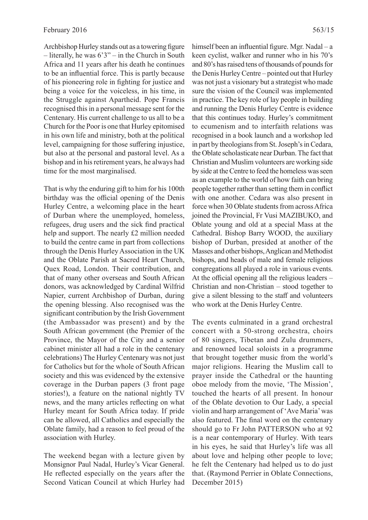Archbishop Hurley stands out as a towering figure – literally, he was 6'3" – in the Church in South Africa and 11 years after his death he continues to be an influential force. This is partly because of his pioneering role in fighting for justice and being a voice for the voiceless, in his time, in the Struggle against Apartheid. Pope Francis recognised this in a personal message sent for the Centenary. His current challenge to us all to be a Church for the Poor is one that Hurley epitomised in his own life and ministry, both at the political level, campaigning for those suffering injustice, but also at the personal and pastoral level. As a bishop and in his retirement years, he always had time for the most marginalised.

That is why the enduring gift to him for his 100th birthday was the official opening of the Denis Hurley Centre, a welcoming place in the heart of Durban where the unemployed, homeless, refugees, drug users and the sick find practical help and support. The nearly £2 million needed to build the centre came in part from collections through the Denis Hurley Association in the UK and the Oblate Parish at Sacred Heart Church, Quex Road, London. Their contribution, and that of many other overseas and South African donors, was acknowledged by Cardinal Wilfrid Napier, current Archbishop of Durban, during the opening blessing. Also recognised was the significant contribution by the Irish Government (the Ambassador was present) and by the South African government (the Premier of the Province, the Mayor of the City and a senior cabinet minister all had a role in the centenary celebrations) The Hurley Centenary was not just for Catholics but for the whole of South African society and this was evidenced by the extensive coverage in the Durban papers (3 front page stories!), a feature on the national nightly TV news, and the many articles reflecting on what Hurley meant for South Africa today. If pride can be allowed, all Catholics and especially the Oblate family, had a reason to feel proud of the association with Hurley.

The weekend began with a lecture given by Monsignor Paul Nadal, Hurley's Vicar General. He reflected especially on the years after the Second Vatican Council at which Hurley had

himself been an influential figure. Mgr. Nadal – a keen cyclist, walker and runner who in his 70's and 80's has raised tens of thousands of pounds for the Denis Hurley Centre – pointed out that Hurley was not just a visionary but a strategist who made sure the vision of the Council was implemented in practice. The key role of lay people in building and running the Denis Hurley Centre is evidence that this continues today. Hurley's commitment to ecumenism and to interfaith relations was recognised in a book launch and a workshop led in part by theologians from St. Joseph's in Cedara, the Oblate scholasticate near Durban. The fact that Christian and Muslim volunteers are working side by side at the Centre to feed the homeless was seen as an example to the world of how faith can bring people together rather than setting them in conflict with one another. Cedara was also present in force when 30 Oblate students from across Africa joined the Provincial, Fr Vusi MAZIBUKO, and Oblate young and old at a special Mass at the Cathedral. Bishop Barry WOOD, the auxiliary bishop of Durban, presided at another of the Masses and other bishops, Anglican and Methodist bishops, and heads of male and female religious congregations all played a role in various events. At the official opening all the religious leaders  $-$ Christian and non-Christian – stood together to give a silent blessing to the staff and volunteers who work at the Denis Hurley Centre.

The events culminated in a grand orchestral concert with a 50-strong orchestra, choirs of 80 singers, Tibetan and Zulu drummers, and renowned local soloists in a programme that brought together music from the world's major religions. Hearing the Muslim call to prayer inside the Cathedral or the haunting oboe melody from the movie, 'The Mission', touched the hearts of all present. In honour of the Oblate devotion to Our Lady, a special violin and harp arrangement of 'Ave Maria' was also featured. The final word on the centenary should go to Fr John PATTERSON who at 92 is a near contemporary of Hurley. With tears in his eyes, he said that Hurley's life was all about love and helping other people to love; he felt the Centenary had helped us to do just that. (Raymond Perrier in Oblate Connections, December 2015)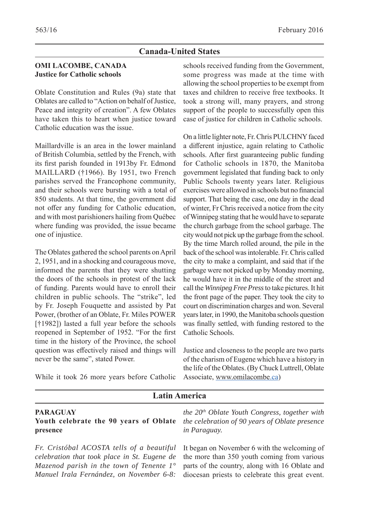#### **Canada-United States**

#### **OMI LACOMBE, CANADA Justice for Catholic schools**

Oblate Constitution and Rules (9a) state that Oblates are called to "Action on behalf of Justice, Peace and integrity of creation". A few Oblates have taken this to heart when justice toward Catholic education was the issue.

Maillardville is an area in the lower mainland of British Columbia, settled by the French, with its first parish founded in 1913by Fr. Edmond MAILLARD (†1966). By 1951, two French parishes served the Francophone community, and their schools were bursting with a total of 850 students. At that time, the government did not offer any funding for Catholic education, and with most parishioners hailing from Québec where funding was provided, the issue became one of injustice.

The Oblates gathered the school parents on April 2, 1951, and in a shocking and courageous move, informed the parents that they were shutting the doors of the schools in protest of the lack of funding. Parents would have to enroll their children in public schools. The "strike", led by Fr. Joseph Fouquette and assisted by Pat Power, (brother of an Oblate, Fr. Miles POWER [ $\uparrow$ 1982]) lasted a full year before the schools reopened in September of 1952. "For the first time in the history of the Province, the school question was effectively raised and things will never be the same", stated Power.

While it took 26 more years before Catholic

schools received funding from the Government, some progress was made at the time with allowing the school properties to be exempt from taxes and children to receive free textbooks. It took a strong will, many prayers, and strong support of the people to successfully open this case of justice for children in Catholic schools.

On a little lighter note, Fr. Chris PULCHNY faced a different injustice, again relating to Catholic schools. After first guaranteeing public funding for Catholic schools in 1870, the Manitoba government legislated that funding back to only Public Schools twenty years later. Religious exercises were allowed in schools but no financial support. That being the case, one day in the dead of winter, Fr Chris received a notice from the city of Winnipeg stating that he would have to separate the church garbage from the school garbage. The city would not pick up the garbage from the school. By the time March rolled around, the pile in the back of the school was intolerable. Fr. Chris called the city to make a complaint, and said that if the garbage were not picked up by Monday morning, he would have it in the middle of the street and call the *Winnipeg Free Press* to take pictures. It hit the front page of the paper. They took the city to court on discrimination charges and won. Several years later, in 1990, the Manitoba schools question was finally settled, with funding restored to the Catholic Schools.

Justice and closeness to the people are two parts of the charism of Eugene which have a history in the life of the Oblates. (By Chuck Luttrell, Oblate Associate, www.omilacombe.ca)

| <b>Latin America</b>                                                                                                                                                                                                                       |                                                                                                                                               |  |  |  |  |
|--------------------------------------------------------------------------------------------------------------------------------------------------------------------------------------------------------------------------------------------|-----------------------------------------------------------------------------------------------------------------------------------------------|--|--|--|--|
| <b>PARAGUAY</b><br>Youth celebrate the 90 years of Oblate<br>presence                                                                                                                                                                      | the $20th$ Oblate Youth Congress, together with<br>the celebration of 90 years of Oblate presence<br>in Paraguay.                             |  |  |  |  |
| Fr. Cristóbal ACOSTA tells of a beautiful<br>celebration that took place in St. Eugene de<br>Mazenod parish in the town of Tenente $1^{\circ}$<br>Manuel Irala Fernández, on November 6-8: diocesan priests to celebrate this great event. | It began on November 6 with the welcoming of<br>the more than 350 youth coming from various<br>parts of the country, along with 16 Oblate and |  |  |  |  |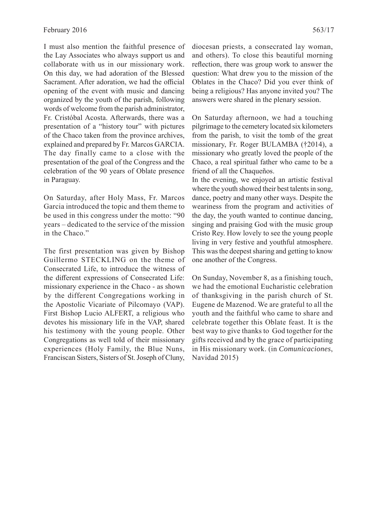I must also mention the faithful presence of the Lay Associates who always support us and collaborate with us in our missionary work. On this day, we had adoration of the Blessed Sacrament. After adoration, we had the official opening of the event with music and dancing organized by the youth of the parish, following words of welcome from the parish administrator, Fr. Cristóbal Acosta. Afterwards, there was a presentation of a "history tour" with pictures of the Chaco taken from the province archives, explained and prepared by Fr. Marcos GARCIA. The day finally came to a close with the presentation of the goal of the Congress and the celebration of the 90 years of Oblate presence in Paraguay.

On Saturday, after Holy Mass, Fr. Marcos Garcia introduced the topic and them theme to be used in this congress under the motto: "90 years – dedicated to the service of the mission in the Chaco."

The first presentation was given by Bishop Guillermo STECKLING on the theme of Consecrated Life, to introduce the witness of the different expressions of Consecrated Life: missionary experience in the Chaco - as shown by the different Congregations working in the Apostolic Vicariate of Pilcomayo (VAP). First Bishop Lucio ALFERT, a religious who devotes his missionary life in the VAP, shared his testimony with the young people. Other Congregations as well told of their missionary experiences (Holy Family, the Blue Nuns, Franciscan Sisters, Sisters of St. Joseph of Cluny,

diocesan priests, a consecrated lay woman, and others). To close this beautiful morning reflection, there was group work to answer the question: What drew you to the mission of the Oblates in the Chaco? Did you ever think of being a religious? Has anyone invited you? The answers were shared in the plenary session.

On Saturday afternoon, we had a touching pilgrimage to the cemetery located six kilometers from the parish, to visit the tomb of the great missionary, Fr. Roger BULAMBA (†2014), a missionary who greatly loved the people of the Chaco, a real spiritual father who came to be a friend of all the Chaqueños.

In the evening, we enjoyed an artistic festival where the youth showed their best talents in song, dance, poetry and many other ways. Despite the weariness from the program and activities of the day, the youth wanted to continue dancing, singing and praising God with the music group Cristo Rey. How lovely to see the young people living in very festive and youthful atmosphere. This was the deepest sharing and getting to know one another of the Congress.

On Sunday, November 8, as a finishing touch, we had the emotional Eucharistic celebration of thanksgiving in the parish church of St. Eugene de Mazenod. We are grateful to all the youth and the faithful who came to share and celebrate together this Oblate feast. It is the best way to give thanks to God together for the gifts received and by the grace of participating in His missionary work. (in *Comunicaciones*, Navidad 2015)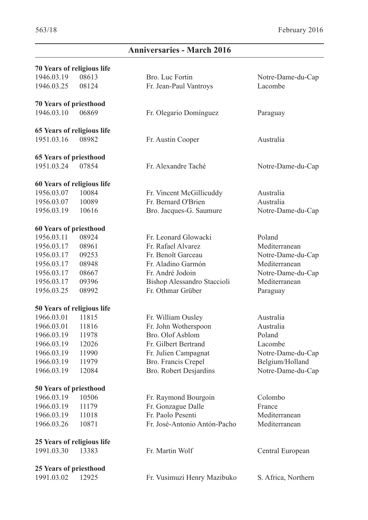$\overline{\phantom{a}}$ 

# **Anniversaries - March 2016**

| <b>70 Years of religious life</b> |                               |                              |                     |  |  |  |  |  |
|-----------------------------------|-------------------------------|------------------------------|---------------------|--|--|--|--|--|
| 1946.03.19                        | 08613                         | Bro. Luc Fortin              | Notre-Dame-du-Cap   |  |  |  |  |  |
| 1946.03.25                        | 08124                         | Fr. Jean-Paul Vantroys       | Lacombe             |  |  |  |  |  |
|                                   | <b>70 Years of priesthood</b> |                              |                     |  |  |  |  |  |
| 1946.03.10<br>06869               |                               | Fr. Olegario Domínguez       | Paraguay            |  |  |  |  |  |
| 65 Years of religious life        |                               |                              |                     |  |  |  |  |  |
| 1951.03.16                        | 08982                         | Fr. Austin Cooper            | Australia           |  |  |  |  |  |
| <b>65 Years of priesthood</b>     |                               |                              |                     |  |  |  |  |  |
| 1951.03.24                        | 07854                         | Fr. Alexandre Taché          | Notre-Dame-du-Cap   |  |  |  |  |  |
| 60 Years of religious life        |                               |                              |                     |  |  |  |  |  |
| 1956.03.07                        | 10084                         | Fr. Vincent McGillicuddy     | Australia           |  |  |  |  |  |
| 1956.03.07                        | 10089                         | Fr. Bernard O'Brien          | Australia           |  |  |  |  |  |
| 1956.03.19                        | 10616                         | Bro. Jacques-G. Saumure      | Notre-Dame-du-Cap   |  |  |  |  |  |
| 60 Years of priesthood            |                               |                              |                     |  |  |  |  |  |
| 1956.03.11                        | 08924                         | Fr. Leonard Glowacki         | Poland              |  |  |  |  |  |
| 1956.03.17                        | 08961                         | Fr. Rafael Alvarez           | Mediterranean       |  |  |  |  |  |
| 1956.03.17                        | 09253                         | Fr. Benoît Garceau           | Notre-Dame-du-Cap   |  |  |  |  |  |
| 1956.03.17                        | 08948                         | Fr. Aladino Garmón           | Mediterranean       |  |  |  |  |  |
| 1956.03.17                        | 08667                         | Fr. André Jodoin             | Notre-Dame-du-Cap   |  |  |  |  |  |
| 1956.03.17                        | 09396                         | Bishop Alessandro Staccioli  | Mediterranean       |  |  |  |  |  |
| 1956.03.25                        | 08992                         | Fr. Othmar Grüber            | Paraguay            |  |  |  |  |  |
| 50 Years of religious life        |                               |                              |                     |  |  |  |  |  |
| 1966.03.01                        | 11815                         | Fr. William Ousley           | Australia           |  |  |  |  |  |
| 1966.03.01                        | 11816                         | Fr. John Wotherspoon         | Australia           |  |  |  |  |  |
| 1966.03.19                        | 11978                         | Bro. Olof Asblom             | Poland              |  |  |  |  |  |
| 1966.03.19                        | 12026                         | Fr. Gilbert Bertrand         | Lacombe             |  |  |  |  |  |
| 1966.03.19                        | 11990                         | Fr. Julien Campagnat         | Notre-Dame-du-Cap   |  |  |  |  |  |
| 1966.03.19                        | 11979                         | Bro. Francis Crepel          | Belgium/Holland     |  |  |  |  |  |
| 1966.03.19                        | 12084                         | Bro. Robert Desjardins       | Notre-Dame-du-Cap   |  |  |  |  |  |
| 50 Years of priesthood            |                               |                              |                     |  |  |  |  |  |
| 1966.03.19                        | 10506                         | Fr. Raymond Bourgoin         | Colombo             |  |  |  |  |  |
| 1966.03.19                        | 11179                         | Fr. Gonzague Dalle           | France              |  |  |  |  |  |
| 1966.03.19                        | 11018                         | Fr. Paolo Pesenti            | Mediterranean       |  |  |  |  |  |
| 1966.03.26                        | 10871                         | Fr. José-Antonio Antón-Pacho | Mediterranean       |  |  |  |  |  |
| 25 Years of religious life        |                               |                              |                     |  |  |  |  |  |
| 1991.03.30                        | 13383                         | Fr. Martin Wolf              | Central European    |  |  |  |  |  |
| 25 Years of priesthood            |                               |                              |                     |  |  |  |  |  |
| 1991.03.02                        | 12925                         | Fr. Vusimuzi Henry Mazibuko  | S. Africa, Northern |  |  |  |  |  |